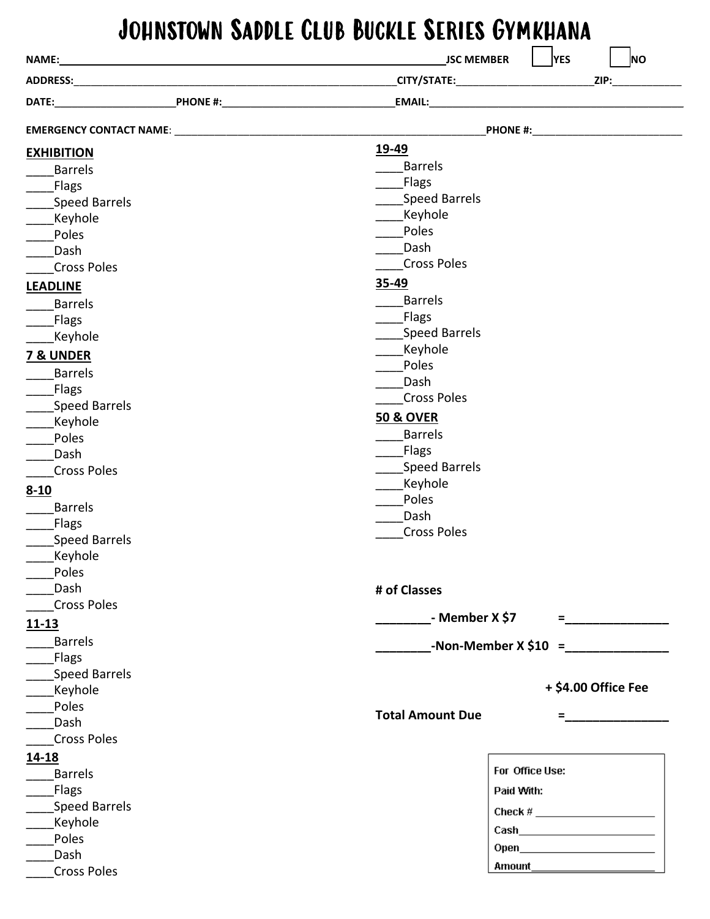## Johnstown Saddle Club Buckle Series Gymkhana

|                      | <b>YES</b><br><b>JSC MEMBER</b><br><b>NO</b>                                                                                                                                                                                                                                                                          |
|----------------------|-----------------------------------------------------------------------------------------------------------------------------------------------------------------------------------------------------------------------------------------------------------------------------------------------------------------------|
|                      |                                                                                                                                                                                                                                                                                                                       |
|                      |                                                                                                                                                                                                                                                                                                                       |
|                      | PHONE #: _______________________________                                                                                                                                                                                                                                                                              |
| <b>EXHIBITION</b>    | 19-49                                                                                                                                                                                                                                                                                                                 |
| <b>Barrels</b>       | <b>Barrels</b>                                                                                                                                                                                                                                                                                                        |
| <b>Flags</b>         | <b>Flags</b>                                                                                                                                                                                                                                                                                                          |
| <b>Speed Barrels</b> | <b>Speed Barrels</b>                                                                                                                                                                                                                                                                                                  |
| Keyhole              | Keyhole                                                                                                                                                                                                                                                                                                               |
| Poles                | Poles                                                                                                                                                                                                                                                                                                                 |
| Dash                 | Dash                                                                                                                                                                                                                                                                                                                  |
| <b>Cross Poles</b>   | <b>Cross Poles</b>                                                                                                                                                                                                                                                                                                    |
| <b>LEADLINE</b>      | 35-49                                                                                                                                                                                                                                                                                                                 |
| <b>Barrels</b>       | <b>Barrels</b>                                                                                                                                                                                                                                                                                                        |
| <b>Flags</b>         | <b>Flags</b>                                                                                                                                                                                                                                                                                                          |
| Keyhole              | <b>Speed Barrels</b>                                                                                                                                                                                                                                                                                                  |
| <b>7 &amp; UNDER</b> | Keyhole                                                                                                                                                                                                                                                                                                               |
| <b>Barrels</b>       | Poles                                                                                                                                                                                                                                                                                                                 |
| <b>Flags</b>         | Dash                                                                                                                                                                                                                                                                                                                  |
| <b>Speed Barrels</b> | <b>Cross Poles</b>                                                                                                                                                                                                                                                                                                    |
| Keyhole              | <b>50 &amp; OVER</b>                                                                                                                                                                                                                                                                                                  |
| Poles                | <b>Barrels</b>                                                                                                                                                                                                                                                                                                        |
| Dash                 | <b>Flags</b>                                                                                                                                                                                                                                                                                                          |
| <b>Cross Poles</b>   | <b>Speed Barrels</b>                                                                                                                                                                                                                                                                                                  |
| $8 - 10$             | Keyhole                                                                                                                                                                                                                                                                                                               |
| <b>Barrels</b>       | Poles                                                                                                                                                                                                                                                                                                                 |
| Flags                | Dash                                                                                                                                                                                                                                                                                                                  |
| <b>Speed Barrels</b> | <b>Cross Poles</b>                                                                                                                                                                                                                                                                                                    |
| Keyhole              |                                                                                                                                                                                                                                                                                                                       |
| Poles                |                                                                                                                                                                                                                                                                                                                       |
| Dash                 | # of Classes                                                                                                                                                                                                                                                                                                          |
| <b>Cross Poles</b>   |                                                                                                                                                                                                                                                                                                                       |
| $11 - 13$            | - Member X \$7<br>= 2000 <u>- 2000 - 20</u>                                                                                                                                                                                                                                                                           |
| <b>Barrels</b>       |                                                                                                                                                                                                                                                                                                                       |
| Flags                | -Non-Member $X \, \$10 =$                                                                                                                                                                                                                                                                                             |
| <b>Speed Barrels</b> |                                                                                                                                                                                                                                                                                                                       |
| Keyhole              | + \$4.00 Office Fee                                                                                                                                                                                                                                                                                                   |
| Poles                |                                                                                                                                                                                                                                                                                                                       |
| Dash                 | <b>Total Amount Due</b>                                                                                                                                                                                                                                                                                               |
| <b>Cross Poles</b>   |                                                                                                                                                                                                                                                                                                                       |
| 14-18                |                                                                                                                                                                                                                                                                                                                       |
| <b>Barrels</b>       | For Office Use:                                                                                                                                                                                                                                                                                                       |
| <b>Flags</b>         | Paid With:                                                                                                                                                                                                                                                                                                            |
| <b>Speed Barrels</b> |                                                                                                                                                                                                                                                                                                                       |
| Keyhole              | Check # $\frac{1}{2}$ $\frac{1}{2}$ $\frac{1}{2}$ $\frac{1}{2}$ $\frac{1}{2}$ $\frac{1}{2}$ $\frac{1}{2}$ $\frac{1}{2}$ $\frac{1}{2}$ $\frac{1}{2}$ $\frac{1}{2}$ $\frac{1}{2}$ $\frac{1}{2}$ $\frac{1}{2}$ $\frac{1}{2}$ $\frac{1}{2}$ $\frac{1}{2}$ $\frac{1}{2}$ $\frac{1}{2}$ $\frac{1}{2}$ $\frac{1}{2}$ $\frac$ |
| Poles                |                                                                                                                                                                                                                                                                                                                       |
| Dash                 |                                                                                                                                                                                                                                                                                                                       |
| <b>Cross Poles</b>   | Amount <b>Amount</b>                                                                                                                                                                                                                                                                                                  |
|                      |                                                                                                                                                                                                                                                                                                                       |